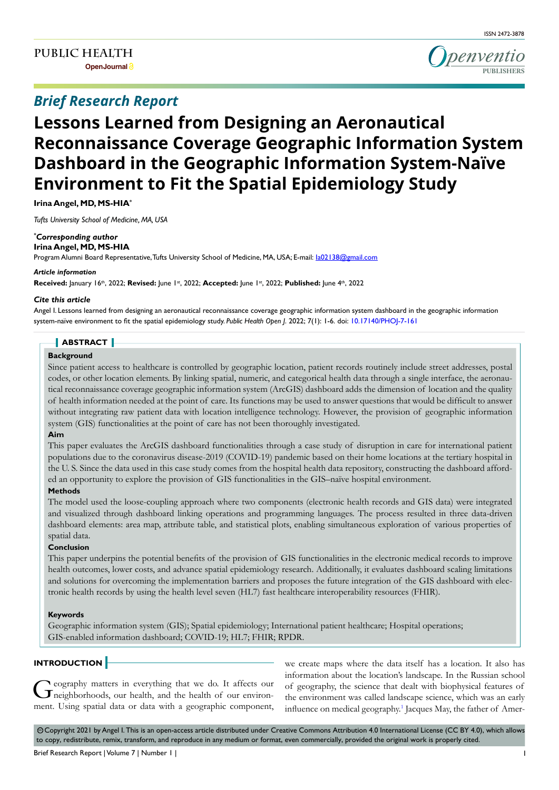# **Lessons Learned from Designing an Aeronautical Reconnaissance Coverage Geographic Information System Dashboard in the Geographic Information System-Naïve Environment to Fit the Spatial Epidemiology Study**

**Irina Angel, MD, MS-HIA\***

*Tufts University School of Medicine, MA, USA*

# *\* Corresponding author*

**Irina Angel, MD, MS-HIA**

Program Alumni Board Representative, Tufts University School of Medicine, MA, USA; E-mail: la02138@gmail.com

#### *Article information*

**Received:** January 16th, 2022; **Revised:** June 1st, 2022; **Accepted:** June 1st, 2022; **Published:** June 4th, 2022

## *Cite this article*

Angel I. Lessons learned from designing an aeronautical reconnaissance coverage geographic information system dashboard in the geographic information system-naïve environment to fit the spatial epidemiology study. *Public Health Open J*. 2022; 7(1): 1-6. doi: [10.17140/PHOJ-7-161](http://dx.doi.org/10.17140/PHOJ-7-161)

# **ABSTRACT**

# **Background**

Since patient access to healthcare is controlled by geographic location, patient records routinely include street addresses, postal codes, or other location elements. By linking spatial, numeric, and categorical health data through a single interface, the aeronautical reconnaissance coverage geographic information system (ArcGIS) dashboard adds the dimension of location and the quality of health information needed at the point of care. Its functions may be used to answer questions that would be difficult to answer without integrating raw patient data with location intelligence technology. However, the provision of geographic information system (GIS) functionalities at the point of care has not been thoroughly investigated.

# **Aim**

This paper evaluates the ArcGIS dashboard functionalities through a case study of disruption in care for international patient populations due to the coronavirus disease-2019 (COVID-19) pandemic based on their home locations at the tertiary hospital in the U. S. Since the data used in this case study comes from the hospital health data repository, constructing the dashboard afforded an opportunity to explore the provision of GIS functionalities in the GIS–naïve hospital environment.

## **Methods**

The model used the loose-coupling approach where two components (electronic health records and GIS data) were integrated and visualized through dashboard linking operations and programming languages. The process resulted in three data-driven dashboard elements: area map, attribute table, and statistical plots, enabling simultaneous exploration of various properties of spatial data.

# **Conclusion**

This paper underpins the potential benefits of the provision of GIS functionalities in the electronic medical records to improve health outcomes, lower costs, and advance spatial epidemiology research. Additionally, it evaluates dashboard scaling limitations and solutions for overcoming the implementation barriers and proposes the future integration of the GIS dashboard with electronic health records by using the health level seven (HL7) fast healthcare interoperability resources (FHIR).

## **Keywords**

Geographic information system (GIS); Spatial epidemiology; International patient healthcare; Hospital operations; GIS-enabled information dashboard; COVID-19; HL7; FHIR; RPDR.

# **INTRODUCTION**

Geography matters in everything that we do. It affects our neighborhoods, our health, and the health of our environment. Using spatial data or data with a geographic component,

we create maps where the data itself has a location. It also has information about the location's landscape. In the Russian school of geography, the science that dealt with biophysical features of the environment was called landscape science, which was an early influence on medical geography.<sup>[1](#page-5-0)</sup> Jacques May, the father of Amer-

© Copyright 2021 by Angel I. This is an open-access article distributed under Creative Commons Attribution 4.0 International License (CC BY 4.0), which allows to copy, redistribute, remix, transform, and reproduce in any medium or format, even commercially, provided the original work is properly cited.

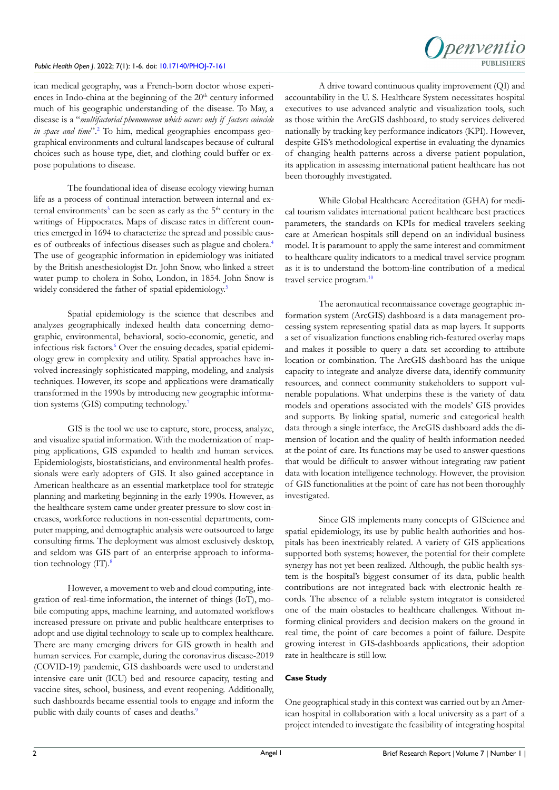## *Public Health Open J*. 2022; 7(1): 1-6. doi: [10.17140/PHOJ-7-161](http://dx.doi.org/10.17140/PHOJ-7-161)



ican medical geography, was a French-born doctor whose experiences in Indo-china at the beginning of the  $20<sup>th</sup>$  century informed much of his geographic understanding of the disease. To May, a disease is a "*multifactorial phenomenon which occurs only if factors coincide*  in space and time".<sup>2</sup> To him, medical geographies encompass geographical environments and cultural landscapes because of cultural choices such as house type, diet, and clothing could buffer or expose populations to disease.

The foundational idea of disease ecology viewing human life as a process of continual interaction between internal and external environments<sup>3</sup> can be seen as early as the  $5<sup>th</sup>$  century in the writings of Hippocrates. Maps of disease rates in different countries emerged in 1694 to characterize the spread and possible causes of outbreaks of infectious diseases such as plague and cholera.[4](#page-5-3) The use of geographic information in epidemiology was initiated by the British anesthesiologist Dr. John Snow, who linked a street water pump to cholera in Soho, London, in 1854. John Snow is widely considered the father of spatial epidemiology.<sup>5</sup>

Spatial epidemiology is the science that describes and analyzes geographically indexed health data concerning demographic, environmental, behavioral, socio-economic, genetic, and infectious risk factors.<sup>6</sup> Over the ensuing decades, spatial epidemiology grew in complexity and utility. Spatial approaches have involved increasingly sophisticated mapping, modeling, and analysis techniques. However, its scope and applications were dramatically transformed in the 1990s by introducing new geographic information systems (GIS) computing technology[.7](#page-5-6)

GIS is the tool we use to capture, store, process, analyze, and visualize spatial information. With the modernization of mapping applications, GIS expanded to health and human services. Epidemiologists, biostatisticians, and environmental health professionals were early adopters of GIS. It also gained acceptance in American healthcare as an essential marketplace tool for strategic planning and marketing beginning in the early 1990s. However, as the healthcare system came under greater pressure to slow cost increases, workforce reductions in non-essential departments, computer mapping, and demographic analysis were outsourced to large consulting firms. The deployment was almost exclusively desktop, and seldom was GIS part of an enterprise approach to informa-tion technology (IT).<sup>[8](#page-5-7)</sup>

However, a movement to web and cloud computing, integration of real-time information, the internet of things (IoT), mobile computing apps, machine learning, and automated workflows increased pressure on private and public healthcare enterprises to adopt and use digital technology to scale up to complex healthcare. There are many emerging drivers for GIS growth in health and human services. For example, during the coronavirus disease-2019 (COVID-19) pandemic, GIS dashboards were used to understand intensive care unit (ICU) bed and resource capacity, testing and vaccine sites, school, business, and event reopening. Additionally, such dashboards became essential tools to engage and inform the public with daily counts of cases and deaths.<sup>9</sup>

A drive toward continuous quality improvement (QI) and accountability in the U. S. Healthcare System necessitates hospital executives to use advanced analytic and visualization tools, such as those within the ArcGIS dashboard, to study services delivered nationally by tracking key performance indicators (KPI). However, despite GIS's methodological expertise in evaluating the dynamics of changing health patterns across a diverse patient population, its application in assessing international patient healthcare has not been thoroughly investigated.

While Global Healthcare Accreditation (GHA) for medical tourism validates international patient healthcare best practices parameters, the standards on KPIs for medical travelers seeking care at American hospitals still depend on an individual business model. It is paramount to apply the same interest and commitment to healthcare quality indicators to a medical travel service program as it is to understand the bottom-line contribution of a medical travel service program[.10](#page-5-9)

The aeronautical reconnaissance coverage geographic information system (ArcGIS) dashboard is a data management processing system representing spatial data as map layers. It supports a set of visualization functions enabling rich-featured overlay maps and makes it possible to query a data set according to attribute location or combination. The ArcGIS dashboard has the unique capacity to integrate and analyze diverse data, identify community resources, and connect community stakeholders to support vulnerable populations. What underpins these is the variety of data models and operations associated with the models' GIS provides and supports. By linking spatial, numeric and categorical health data through a single interface, the ArcGIS dashboard adds the dimension of location and the quality of health information needed at the point of care. Its functions may be used to answer questions that would be difficult to answer without integrating raw patient data with location intelligence technology. However, the provision of GIS functionalities at the point of care has not been thoroughly investigated.

Since GIS implements many concepts of GIScience and spatial epidemiology, its use by public health authorities and hospitals has been inextricably related. A variety of GIS applications supported both systems; however, the potential for their complete synergy has not yet been realized. Although, the public health system is the hospital's biggest consumer of its data, public health contributions are not integrated back with electronic health records. The absence of a reliable system integrator is considered one of the main obstacles to healthcare challenges. Without informing clinical providers and decision makers on the ground in real time, the point of care becomes a point of failure. Despite growing interest in GIS-dashboards applications, their adoption rate in healthcare is still low.

#### **Case Study**

One geographical study in this context was carried out by an American hospital in collaboration with a local university as a part of a project intended to investigate the feasibility of integrating hospital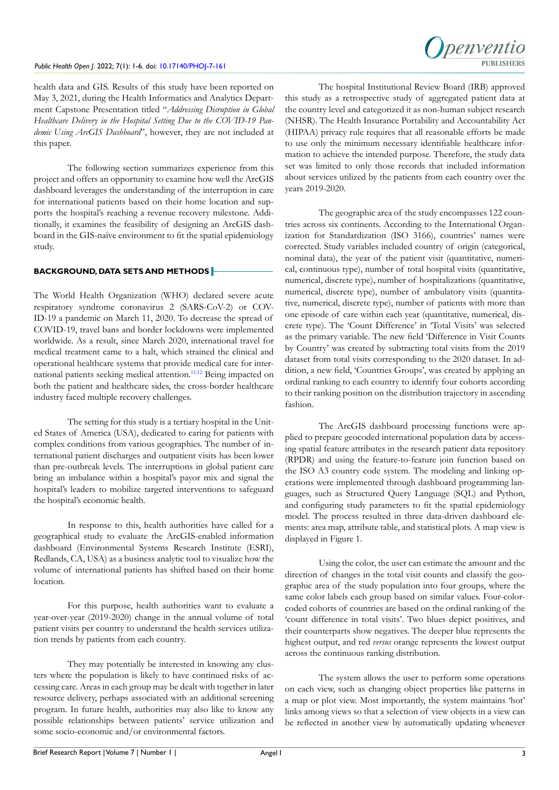health data and GIS. Results of this study have been reported on May 3, 2021, during the Health Informatics and Analytics Department Capstone Presentation titled "*Addressing Disruption in Global Healthcare Delivery in the Hospital Setting Due to the COVID-19 Pandemic Using ArcGIS Dashboard*", however, they are not included at this paper.

The following section summarizes experience from this project and offers an opportunity to examine how well the ArcGIS dashboard leverages the understanding of the interruption in care for international patients based on their home location and supports the hospital's reaching a revenue recovery milestone. Additionally, it examines the feasibility of designing an ArcGIS dashboard in the GIS-naïve environment to fit the spatial epidemiology study.

# **BACKGROUND, DATA SETS AND METHODS**

The World Health Organization (WHO) declared severe acute respiratory syndrome coronavirus 2 (SARS-CoV-2) or COV-ID-19 a pandemic on March 11, 2020. To decrease the spread of COVID-19, travel bans and border lockdowns were implemented worldwide. As a result, since March 2020, international travel for medical treatment came to a halt, which strained the clinical and operational healthcare systems that provide medical care for international patients seeking medical attention.<sup>11,12</sup> Being impacted on both the patient and healthcare sides, the cross-border healthcare industry faced multiple recovery challenges.

The setting for this study is a tertiary hospital in the United States of America (USA), dedicated to caring for patients with complex conditions from various geographies. The number of international patient discharges and outpatient visits has been lower than pre-outbreak levels. The interruptions in global patient care bring an imbalance within a hospital's payor mix and signal the hospital's leaders to mobilize targeted interventions to safeguard the hospital's economic health.

In response to this, health authorities have called for a geographical study to evaluate the ArcGIS-enabled information dashboard (Environmental Systems Research Institute (ESRI), Redlands, CA, USA) as a business analytic tool to visualize how the volume of international patients has shifted based on their home location.

For this purpose, health authorities want to evaluate a year-over-year (2019-2020) change in the annual volume of total patient visits per country to understand the health services utilization trends by patients from each country.

They may potentially be interested in knowing any clusters where the population is likely to have continued risks of accessing care. Areas in each group may be dealt with together in later resource delivery, perhaps associated with an additional screening program. In future health, authorities may also like to know any possible relationships between patients' service utilization and some socio-economic and/or environmental factors.



The hospital Institutional Review Board (IRB) approved this study as a retrospective study of aggregated patient data at the country level and categorized it as non-human subject research (NHSR). The Health Insurance Portability and Accountability Act (HIPAA) privacy rule requires that all reasonable efforts be made to use only the minimum necessary identifiable healthcare information to achieve the intended purpose. Therefore, the study data set was limited to only those records that included information about services utilized by the patients from each country over the years 2019-2020.

The geographic area of the study encompasses 122 countries across six continents. According to the International Organization for Standardization (ISO 3166), countries' names were corrected. Study variables included country of origin (categorical, nominal data), the year of the patient visit (quantitative, numerical, continuous type), number of total hospital visits (quantitative, numerical, discrete type), number of hospitalizations (quantitative, numerical, discrete type), number of ambulatory visits (quantitative, numerical, discrete type), number of patients with more than one episode of care within each year (quantitative, numerical, discrete type). The 'Count Difference' in 'Total Visits' was selected as the primary variable. The new field 'Difference in Visit Counts by Country' was created by subtracting total visits from the 2019 dataset from total visits corresponding to the 2020 dataset. In addition, a new field, 'Countries Groups', was created by applying an ordinal ranking to each country to identify four cohorts according to their ranking position on the distribution trajectory in ascending fashion.

The ArcGIS dashboard processing functions were applied to prepare geocoded international population data by accessing spatial feature attributes in the research patient data repository (RPDR) and using the feature-to-feature join function based on the ISO A3 country code system. The modeling and linking operations were implemented through dashboard programming languages, such as Structured Query Language (SQL) and Python, and configuring study parameters to fit the spatial epidemiology model. The process resulted in three data-driven dashboard elements: area map, attribute table, and statistical plots. A map view is displayed in Figure 1.

Using the color, the user can estimate the amount and the direction of changes in the total visit counts and classify the geographic area of the study population into four groups, where the same color labels each group based on similar values. Four-colorcoded cohorts of countries are based on the ordinal ranking of the 'count difference in total visits'. Two blues depict positives, and their counterparts show negatives. The deeper blue represents the highest output, and red *versus* orange represents the lowest output across the continuous ranking distribution.

The system allows the user to perform some operations on each view, such as changing object properties like patterns in a map or plot view. Most importantly, the system maintains 'hot' links among views so that a selection of view objects in a view can be reflected in another view by automatically updating whenever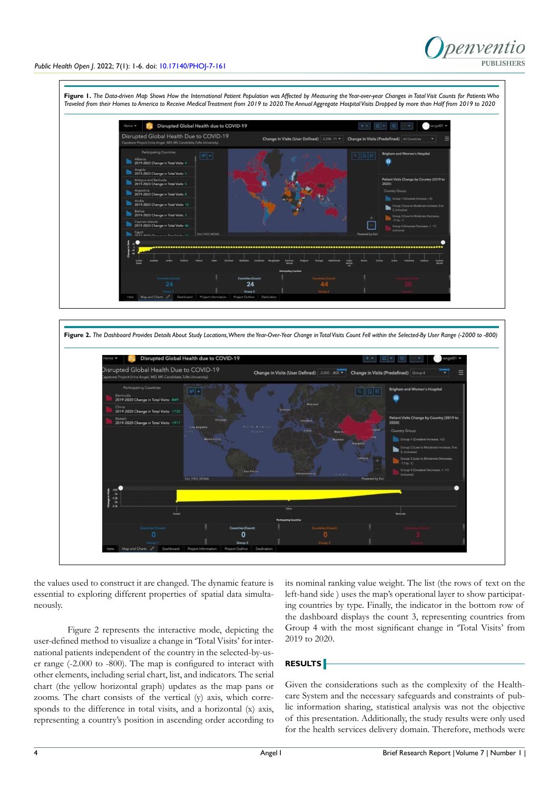

## *Public Health Open J*. 2022; 7(1): 1-6. doi: [10.17140/PHOJ-7-161](http://dx.doi.org/10.17140/PHOJ-7-161)





the values used to construct it are changed. The dynamic feature is essential to exploring different properties of spatial data simultaneously.

Figure 2 represents the interactive mode, depicting the user-defined method to visualize a change in 'Total Visits' for international patients independent of the country in the selected-by-user range (-2.000 to -800). The map is configured to interact with other elements, including serial chart, list, and indicators. The serial chart (the yellow horizontal graph) updates as the map pans or zooms. The chart consists of the vertical (y) axis, which corresponds to the difference in total visits, and a horizontal (x) axis, representing a country's position in ascending order according to

its nominal ranking value weight. The list (the rows of text on the left-hand side ) uses the map's operational layer to show participating countries by type. Finally, the indicator in the bottom row of the dashboard displays the count 3, representing countries from Group 4 with the most significant change in 'Total Visits' from 2019 to 2020.

# **RESULTS**

Given the considerations such as the complexity of the Healthcare System and the necessary safeguards and constraints of public information sharing, statistical analysis was not the objective of this presentation. Additionally, the study results were only used for the health services delivery domain. Therefore, methods were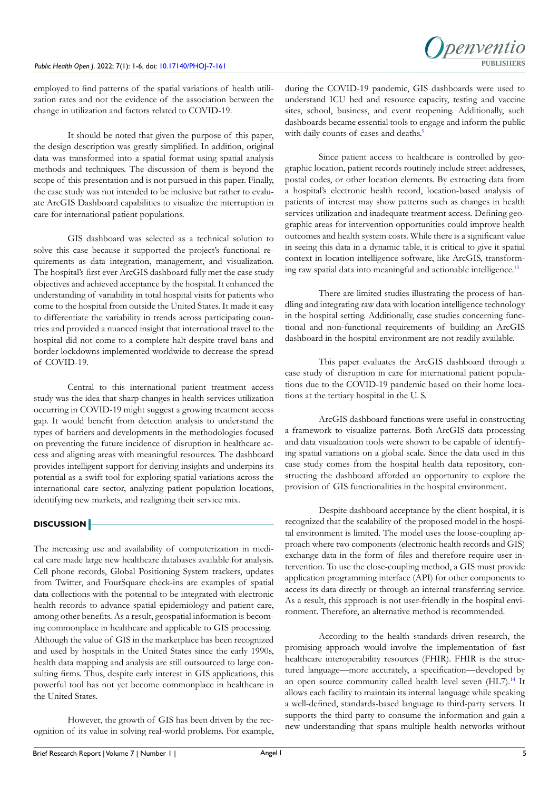employed to find patterns of the spatial variations of health utilization rates and not the evidence of the association between the change in utilization and factors related to COVID-19.

It should be noted that given the purpose of this paper, the design description was greatly simplified. In addition, original data was transformed into a spatial format using spatial analysis methods and techniques. The discussion of them is beyond the scope of this presentation and is not pursued in this paper. Finally, the case study was not intended to be inclusive but rather to evaluate ArcGIS Dashboard capabilities to visualize the interruption in care for international patient populations.

GIS dashboard was selected as a technical solution to solve this case because it supported the project's functional requirements as data integration, management, and visualization. The hospital's first ever ArcGIS dashboard fully met the case study objectives and achieved acceptance by the hospital. It enhanced the understanding of variability in total hospital visits for patients who come to the hospital from outside the United States. It made it easy to differentiate the variability in trends across participating countries and provided a nuanced insight that international travel to the hospital did not come to a complete halt despite travel bans and border lockdowns implemented worldwide to decrease the spread of COVID-19.

Central to this international patient treatment access study was the idea that sharp changes in health services utilization occurring in COVID-19 might suggest a growing treatment access gap. It would benefit from detection analysis to understand the types of barriers and developments in the methodologies focused on preventing the future incidence of disruption in healthcare access and aligning areas with meaningful resources. The dashboard provides intelligent support for deriving insights and underpins its potential as a swift tool for exploring spatial variations across the international care sector, analyzing patient population locations, identifying new markets, and realigning their service mix.

# **DISCUSSION**

The increasing use and availability of computerization in medical care made large new healthcare databases available for analysis. Cell phone records, Global Positioning System trackers, updates from Twitter, and FourSquare check-ins are examples of spatial data collections with the potential to be integrated with electronic health records to advance spatial epidemiology and patient care, among other benefits. As a result, geospatial information is becoming commonplace in healthcare and applicable to GIS processing. Although the value of GIS in the marketplace has been recognized and used by hospitals in the United States since the early 1990s, health data mapping and analysis are still outsourced to large consulting firms. Thus, despite early interest in GIS applications, this powerful tool has not yet become commonplace in healthcare in the United States.

However, the growth of GIS has been driven by the recognition of its value in solving real-world problems. For example,

during the COVID-19 pandemic, GIS dashboards were used to understand ICU bed and resource capacity, testing and vaccine sites, school, business, and event reopening. Additionally, such dashboards became essential tools to engage and inform the public with daily counts of cases and deaths.<sup>9</sup>

Since patient access to healthcare is controlled by geographic location, patient records routinely include street addresses, postal codes, or other location elements. By extracting data from a hospital's electronic health record, location-based analysis of patients of interest may show patterns such as changes in health services utilization and inadequate treatment access. Defining geographic areas for intervention opportunities could improve health outcomes and health system costs. While there is a significant value in seeing this data in a dynamic table, it is critical to give it spatial context in location intelligence software, like ArcGIS, transform-ing raw spatial data into meaningful and actionable intelligence.<sup>[13](#page-5-11)</sup>

There are limited studies illustrating the process of handling and integrating raw data with location intelligence technology in the hospital setting. Additionally, case studies concerning functional and non-functional requirements of building an ArcGIS dashboard in the hospital environment are not readily available.

This paper evaluates the ArcGIS dashboard through a case study of disruption in care for international patient populations due to the COVID-19 pandemic based on their home locations at the tertiary hospital in the U. S.

ArcGIS dashboard functions were useful in constructing a framework to visualize patterns. Both ArcGIS data processing and data visualization tools were shown to be capable of identifying spatial variations on a global scale. Since the data used in this case study comes from the hospital health data repository, constructing the dashboard afforded an opportunity to explore the provision of GIS functionalities in the hospital environment.

Despite dashboard acceptance by the client hospital, it is recognized that the scalability of the proposed model in the hospital environment is limited. The model uses the loose-coupling approach where two components (electronic health records and GIS) exchange data in the form of files and therefore require user intervention. To use the close-coupling method, a GIS must provide application programming interface (API) for other components to access its data directly or through an internal transferring service. As a result, this approach is not user-friendly in the hospital environment. Therefore, an alternative method is recommended.

According to the health standards-driven research, the promising approach would involve the implementation of fast healthcare interoperability resources (FHIR). FHIR is the structured language—more accurately, a specification—developed by an open source community called health level seven (HL7).<sup>14</sup> It allows each facility to maintain its internal language while speaking a well-defined, standards-based language to third-party servers. It supports the third party to consume the information and gain a new understanding that spans multiple health networks without